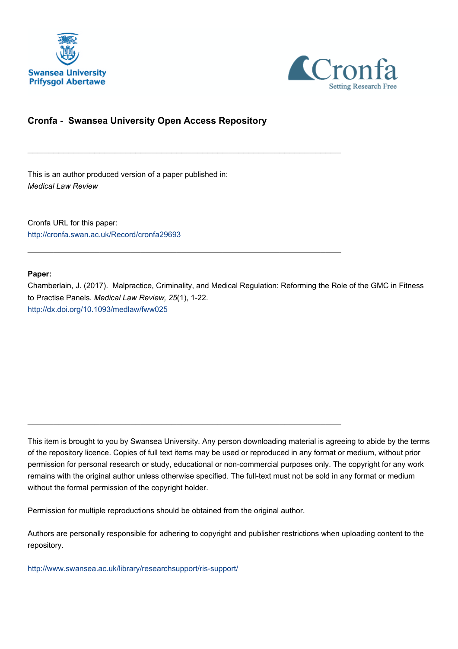



# **Cronfa - Swansea University Open Access Repository**

 $\frac{1}{2}$  ,  $\frac{1}{2}$  ,  $\frac{1}{2}$  ,  $\frac{1}{2}$  ,  $\frac{1}{2}$  ,  $\frac{1}{2}$  ,  $\frac{1}{2}$  ,  $\frac{1}{2}$  ,  $\frac{1}{2}$  ,  $\frac{1}{2}$  ,  $\frac{1}{2}$  ,  $\frac{1}{2}$  ,  $\frac{1}{2}$  ,  $\frac{1}{2}$  ,  $\frac{1}{2}$  ,  $\frac{1}{2}$  ,  $\frac{1}{2}$  ,  $\frac{1}{2}$  ,  $\frac{1$ 

 $\frac{1}{2}$  ,  $\frac{1}{2}$  ,  $\frac{1}{2}$  ,  $\frac{1}{2}$  ,  $\frac{1}{2}$  ,  $\frac{1}{2}$  ,  $\frac{1}{2}$  ,  $\frac{1}{2}$  ,  $\frac{1}{2}$  ,  $\frac{1}{2}$  ,  $\frac{1}{2}$  ,  $\frac{1}{2}$  ,  $\frac{1}{2}$  ,  $\frac{1}{2}$  ,  $\frac{1}{2}$  ,  $\frac{1}{2}$  ,  $\frac{1}{2}$  ,  $\frac{1}{2}$  ,  $\frac{1$ 

\_\_\_\_\_\_\_\_\_\_\_\_\_\_\_\_\_\_\_\_\_\_\_\_\_\_\_\_\_\_\_\_\_\_\_\_\_\_\_\_\_\_\_\_\_\_\_\_\_\_\_\_\_\_\_\_\_\_\_\_\_

This is an author produced version of a paper published in: *Medical Law Review*

Cronfa URL for this paper: <http://cronfa.swan.ac.uk/Record/cronfa29693>

#### **Paper:**

Chamberlain, J. (2017). Malpractice, Criminality, and Medical Regulation: Reforming the Role of the GMC in Fitness to Practise Panels. *Medical Law Review, 25*(1), 1-22. <http://dx.doi.org/10.1093/medlaw/fww025>

This item is brought to you by Swansea University. Any person downloading material is agreeing to abide by the terms of the repository licence. Copies of full text items may be used or reproduced in any format or medium, without prior permission for personal research or study, educational or non-commercial purposes only. The copyright for any work remains with the original author unless otherwise specified. The full-text must not be sold in any format or medium without the formal permission of the copyright holder.

Permission for multiple reproductions should be obtained from the original author.

Authors are personally responsible for adhering to copyright and publisher restrictions when uploading content to the repository.

[http://www.swansea.ac.uk/library/researchsupport/ris-support/](http://www.swansea.ac.uk/library/researchsupport/ris-support/ )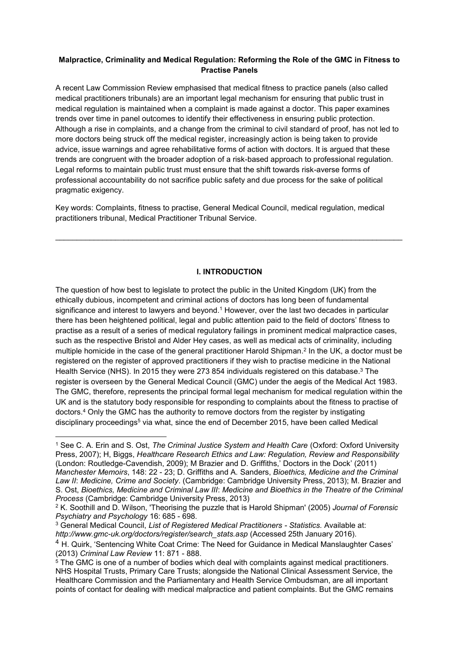# **Malpractice, Criminality and Medical Regulation: Reforming the Role of the GMC in Fitness to Practise Panels**

A recent Law Commission Review emphasised that medical fitness to practice panels (also called medical practitioners tribunals) are an important legal mechanism for ensuring that public trust in medical regulation is maintained when a complaint is made against a doctor. This paper examines trends over time in panel outcomes to identify their effectiveness in ensuring public protection. Although a rise in complaints, and a change from the criminal to civil standard of proof, has not led to more doctors being struck off the medical register, increasingly action is being taken to provide advice, issue warnings and agree rehabilitative forms of action with doctors. It is argued that these trends are congruent with the broader adoption of a risk-based approach to professional regulation. Legal reforms to maintain public trust must ensure that the shift towards risk-averse forms of professional accountability do not sacrifice public safety and due process for the sake of political pragmatic exigency.

Key words: Complaints, fitness to practise, General Medical Council, medical regulation, medical practitioners tribunal, Medical Practitioner Tribunal Service.

# **I. INTRODUCTION**

\_\_\_\_\_\_\_\_\_\_\_\_\_\_\_\_\_\_\_\_\_\_\_\_\_\_\_\_\_\_\_\_\_\_\_\_\_\_\_\_\_\_\_\_\_\_\_\_\_\_\_\_\_\_\_\_\_\_\_\_\_\_\_\_\_\_\_\_\_\_\_\_\_\_\_\_\_\_\_\_\_

The question of how best to legislate to protect the public in the United Kingdom (UK) from the ethically dubious, incompetent and criminal actions of doctors has long been of fundamental significance and interest to lawyers and beyond. <sup>1</sup> However, over the last two decades in particular there has been heightened political, legal and public attention paid to the field of doctors' fitness to practise as a result of a series of medical regulatory failings in prominent medical malpractice cases, such as the respective Bristol and Alder Hey cases, as well as medical acts of criminality, including multiple homicide in the case of the general practitioner Harold Shipman. 2 In the UK, a doctor must be registered on the register of approved practitioners if they wish to practise medicine in the National Health Service (NHS). In 2015 they were 273 854 individuals registered on this database. <sup>3</sup> The register is overseen by the General Medical Council (GMC) under the aegis of the Medical Act 1983. The GMC, therefore, represents the principal formal legal mechanism for medical regulation within the UK and is the statutory body responsible for responding to complaints about the fitness to practise of doctors. <sup>4</sup> Only the GMC has the authority to remove doctors from the register by instigating disciplinary proceedings<sup>5</sup> via what, since the end of December 2015, have been called Medical

<sup>-</sup><sup>1</sup> See C. A. Erin and S. Ost, *The Criminal Justice System and Health Care* (Oxford: Oxford University Press, 2007); H, Biggs, *Healthcare Research Ethics and Law: Regulation, Review and Responsibility*  (London: Routledge-Cavendish, 2009); M Brazier and D. Griffiths,' Doctors in the Dock' (2011) *Manchester Memoirs*, 148: 22 - 23; D. Griffiths and A. Sanders, *Bioethics, Medicine and the Criminal Law II*: *Medicine, Crime and Society*. (Cambridge: Cambridge University Press, 2013); M. Brazier and S. Ost, *Bioethics, Medicine and Criminal Law III*: *Medicine and Bioethics in the Theatre of the Criminal Process* (Cambridge: Cambridge University Press, 2013)

<sup>2</sup> K. Soothill and D. Wilson, 'Theorising the puzzle that is Harold Shipman' (2005) *Journal of Forensic Psychiatry and Psychology* 16: 685 - 698.

<sup>3</sup> General Medical Council, *List of Registered Medical Practitioners - Statistics.* Available at: *http://www.gmc-uk.org/doctors/register/search\_stats.asp* (Accessed 25th January 2016).

<sup>&</sup>lt;sup>4</sup> H. Quirk, 'Sentencing White Coat Crime: The Need for Guidance in Medical Manslaughter Cases' (2013) *Criminal Law Review* 11: 871 - 888.

 $\frac{5}{5}$  The GMC is one of a number of bodies which deal with complaints against medical practitioners. NHS Hospital Trusts, Primary Care Trusts; alongside the National Clinical Assessment Service, the Healthcare Commission and the Parliamentary and Health Service Ombudsman, are all important points of contact for dealing with medical malpractice and patient complaints. But the GMC remains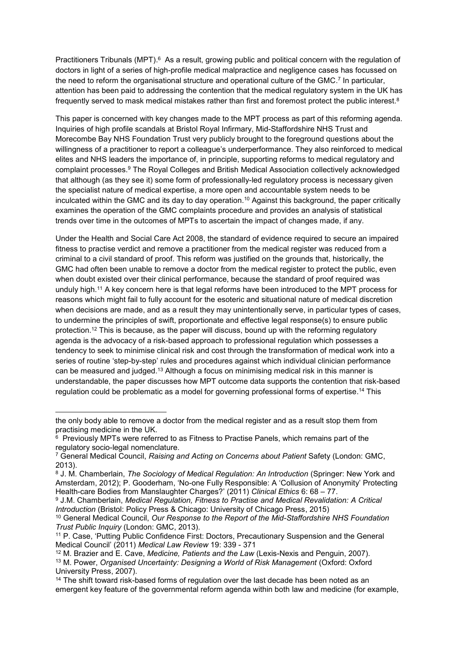Practitioners Tribunals (MPT).<sup>6</sup> As a result, growing public and political concern with the regulation of doctors in light of a series of high-profile medical malpractice and negligence cases has focussed on the need to reform the organisational structure and operational culture of the GMC. 7 In particular, attention has been paid to addressing the contention that the medical regulatory system in the UK has frequently served to mask medical mistakes rather than first and foremost protect the public interest. $^8$ 

This paper is concerned with key changes made to the MPT process as part of this reforming agenda. Inquiries of high profile scandals at Bristol Royal Infirmary, Mid-Staffordshire NHS Trust and Morecombe Bay NHS Foundation Trust very publicly brought to the foreground questions about the willingness of a practitioner to report a colleague's underperformance. They also reinforced to medical elites and NHS leaders the importance of, in principle, supporting reforms to medical regulatory and complaint processes. <sup>9</sup> The Royal Colleges and British Medical Association collectively acknowledged that although (as they see it) some form of professionally-led regulatory process is necessary given the specialist nature of medical expertise, a more open and accountable system needs to be inculcated within the GMC and its day to day operation. <sup>10</sup> Against this background, the paper critically examines the operation of the GMC complaints procedure and provides an analysis of statistical trends over time in the outcomes of MPTs to ascertain the impact of changes made, if any.

Under the Health and Social Care Act 2008, the standard of evidence required to secure an impaired fitness to practise verdict and remove a practitioner from the medical register was reduced from a criminal to a civil standard of proof. This reform was justified on the grounds that, historically, the GMC had often been unable to remove a doctor from the medical register to protect the public, even when doubt existed over their clinical performance, because the standard of proof required was unduly high. <sup>11</sup> A key concern here is that legal reforms have been introduced to the MPT process for reasons which might fail to fully account for the esoteric and situational nature of medical discretion when decisions are made, and as a result they may unintentionally serve, in particular types of cases, to undermine the principles of swift, proportionate and effective legal response(s) to ensure public protection. <sup>12</sup> This is because, as the paper will discuss, bound up with the reforming regulatory agenda is the advocacy of a risk-based approach to professional regulation which possesses a tendency to seek to minimise clinical risk and cost through the transformation of medical work into a series of routine 'step-by-step' rules and procedures against which individual clinician performance can be measured and judged.<sup>13</sup> Although a focus on minimising medical risk in this manner is understandable, the paper discusses how MPT outcome data supports the contention that risk-based regulation could be problematic as a model for governing professional forms of expertise. <sup>14</sup> This

the only body able to remove a doctor from the medical register and as a result stop them from practising medicine in the UK.

 $^6\,$  Previously MPTs were referred to as Fitness to Practise Panels, which remains part of the regulatory socio-legal nomenclature.

<sup>7</sup> General Medical Council, *Raising and Acting on Concerns about Patient* Safety (London: GMC, 2013).

<sup>8</sup> J. M. Chamberlain, *The Sociology of Medical Regulation: An Introduction* (Springer: New York and Amsterdam, 2012); P. Gooderham, 'No-one Fully Responsible: A 'Collusion of Anonymity' Protecting Health-care Bodies from Manslaughter Charges?' (2011) *Clinical Ethics* 6: 68 – 77.

<sup>9</sup> J.M. Chamberlain, *Medical Regulation, Fitness to Practise and Medical Revalidation: A Critical Introduction* (Bristol: Policy Press & Chicago: University of Chicago Press, 2015)

<sup>10</sup> General Medical Council, *Our Response to the Report of the Mid-Staffordshire NHS Foundation Trust Public Inquiry* (London: GMC, 2013).

<sup>11</sup> P. Case, 'Putting Public Confidence First: Doctors, Precautionary Suspension and the General Medical Council' (2011) *Medical Law Review* 19: 339 - 371

<sup>12</sup> M. Brazier and E. Cave, *Medicine, Patients and the Law* (Lexis-Nexis and Penguin, 2007).

<sup>13</sup> M. Power, *Organised Uncertainty: Designing a World of Risk Management* (Oxford: Oxford University Press, 2007).

 $14$  The shift toward risk-based forms of regulation over the last decade has been noted as an emergent key feature of the governmental reform agenda within both law and medicine (for example,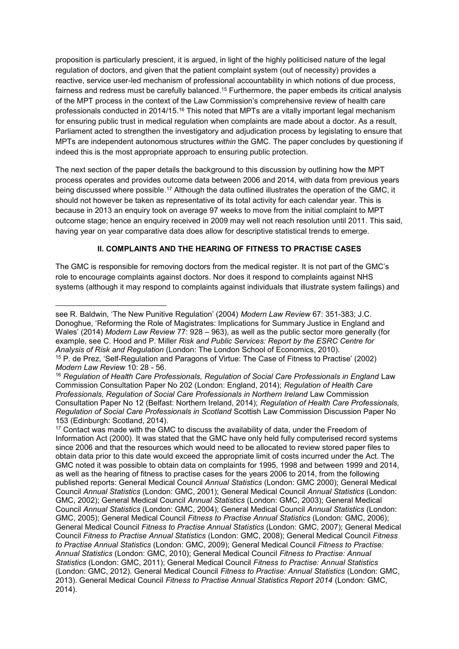proposition is particularly prescient, it is argued, in light of the highly politicised nature of the legal regulation of doctors, and given that the patient complaint system (out of necessity) provides a reactive, service user-led mechanism of professional accountability in which notions of due process, fairness and redress must be carefully balanced. $^{15}$  Furthermore, the paper embeds its critical analysis of the MPT process in the context of the Law Commission's comprehensive review of health care professionals conducted in 2014/15.<sup>16</sup> This noted that MPTs are a vitally important legal mechanism for ensuring public trust in medical regulation when complaints are made about a doctor. As a result, Parliament acted to strengthen the investigatory and adjudication process by legislating to ensure that MPTs are independent autonomous structures *within* the GMC. The paper concludes by questioning if indeed this is the most appropriate approach to ensuring public protection.

The next section of the paper details the background to this discussion by outlining how the MPT process operates and provides outcome data between 2006 and 2014, with data from previous years being discussed where possible.<sup>17</sup> Although the data outlined illustrates the operation of the GMC, it should not however be taken as representative of its total activity for each calendar year. This is because in 2013 an enquiry took on average 97 weeks to move from the initial complaint to MPT outcome stage; hence an enquiry received in 2009 may well not reach resolution until 2011. This said, having year on year comparative data does allow for descriptive statistical trends to emerge.

# **II. COMPLAINTS AND THE HEARING OF FITNESS TO PRACTISE CASES**

The GMC is responsible for removing doctors from the medical register. It is not part of the GMC's role to encourage complaints against doctors. Nor does it respond to complaints against NHS systems (although it may respond to complaints against individuals that illustrate system failings) and

<sup>&</sup>lt;u>.</u> see R. Baldwin, 'The New Punitive Regulation' (2004) *Modern Law Review* 67: 351-383; J.C. Donoghue, 'Reforming the Role of Magistrates: Implications for Summary Justice in England and Wales' (2014) *Modern Law Review* 77: 928 – 963), as well as the public sector more generally (for example, see C. Hood and P. Miller *Risk and Public Services: Report by the ESRC Centre for Analysis of Risk and Regulation* (London: The London School of Economics, 2010). <sup>15</sup> P. de Prez, 'Self-Regulation and Paragons of Virtue: The Case of Fitness to Practise' (2002) *Modern Law Review* 10: 28 - 56.

<sup>16</sup> *Regulation of Health Care Professionals, Regulation of Social Care Professionals in England* Law Commission Consultation Paper No 202 (London: England, 2014); *Regulation of Health Care Professionals, Regulation of Social Care Professionals in Northern Ireland Law Commission* Consultation Paper No 12 (Belfast: Northern Ireland, 2014); *Regulation of Health Care Professionals, Regulation of Social Care Professionals in Scotland* Scottish Law Commission Discussion Paper No 153 (Edinburgh: Scotland, 2014).

<sup>&</sup>lt;sup>17</sup> Contact was made with the GMC to discuss the availability of data, under the Freedom of Information Act (2000). It was stated that the GMC have only held fully computerised record systems since 2006 and that the resources which would need to be allocated to review stored paper files to obtain data prior to this date would exceed the appropriate limit of costs incurred under the Act. The GMC noted it was possible to obtain data on complaints for 1995, 1998 and between 1999 and 2014, as well as the hearing of fitness to practise cases for the years 2006 to 2014, from the following published reports: General Medical Council *Annual Statistics* (London: GMC 2000); General Medical Council *Annual Statistics* (London: GMC, 2001); General Medical Council *Annual Statistics* (London: GMC, 2002); General Medical Council *Annual Statistics* (London: GMC, 2003); General Medical Council *Annual Statistics* (London: GMC, 2004); General Medical Council *Annual Statistics* (London: GMC, 2005); General Medical Council *Fitness to Practise Annual Statistics* (London: GMC, 2006); General Medical Council *Fitness to Practise Annual Statistics* (London: GMC, 2007); General Medical Council *Fitness to Practise Annual Statistics* (London: GMC, 2008); General Medical Council *Fitness to Practise Annual Statistics* (London: GMC, 2009); General Medical Council *Fitness to Practise: Annual Statistics* (London: GMC, 2010); General Medical Council *Fitness to Practise: Annual Statistics* (London: GMC, 2011); General Medical Council *Fitness to Practise: Annual Statistics* (London: GMC, 2012). General Medical Council *Fitness to Practise: Annual Statistics* (London: GMC, 2013). General Medical Council *Fitness to Practise Annual Statistics Report 2014* (London: GMC, 2014).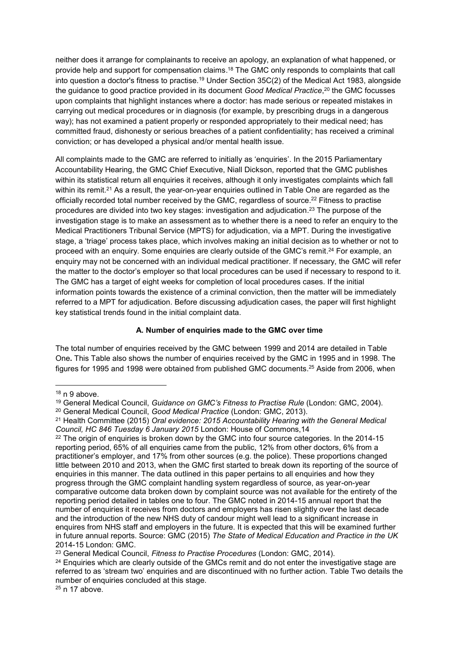neither does it arrange for complainants to receive an apology, an explanation of what happened, or provide help and support for compensation claims. <sup>18</sup> The GMC only responds to complaints that call into question a doctor's fitness to practise. <sup>19</sup> Under Section 35C(2) of the Medical Act 1983, alongside the guidance to good practice provided in its document *Good Medical Practice*, <sup>20</sup> the GMC focusses upon complaints that highlight instances where a doctor: has made serious or repeated mistakes in carrying out medical procedures or in diagnosis (for example, by prescribing drugs in a dangerous way); has not examined a patient properly or responded appropriately to their medical need; has committed fraud, dishonesty or serious breaches of a patient confidentiality; has received a criminal conviction; or has developed a physical and/or mental health issue.

All complaints made to the GMC are referred to initially as 'enquiries'. In the 2015 Parliamentary Accountability Hearing, the GMC Chief Executive, Niall Dickson, reported that the GMC publishes within its statistical return all enquiries it receives, although it only investigates complaints which fall within its remit.<sup>21</sup> As a result, the year-on-year enquiries outlined in Table One are regarded as the officially recorded total number received by the GMC, regardless of source. <sup>22</sup> Fitness to practise procedures are divided into two key stages: investigation and adjudication. <sup>23</sup> The purpose of the investigation stage is to make an assessment as to whether there is a need to refer an enquiry to the Medical Practitioners Tribunal Service (MPTS) for adjudication, via a MPT. During the investigative stage, a 'triage' process takes place, which involves making an initial decision as to whether or not to proceed with an enquiry. Some enquiries are clearly outside of the GMC's remit. <sup>24</sup> For example, an enquiry may not be concerned with an individual medical practitioner. If necessary, the GMC will refer the matter to the doctor's employer so that local procedures can be used if necessary to respond to it. The GMC has a target of eight weeks for completion of local procedures cases. If the initial information points towards the existence of a criminal conviction, then the matter will be immediately referred to a MPT for adjudication. Before discussing adjudication cases, the paper will first highlight key statistical trends found in the initial complaint data.

### **A. Number of enquiries made to the GMC over time**

The total number of enquiries received by the GMC between 1999 and 2014 are detailed in Table One**.** This Table also shows the number of enquiries received by the GMC in 1995 and in 1998. The figures for 1995 and 1998 were obtained from published GMC documents. <sup>25</sup> Aside from 2006, when

 $18$  n 9 above.

<sup>19</sup> General Medical Council, *Guidance on GMC's Fitness to Practise Rule* (London: GMC, 2004).

<sup>20</sup> General Medical Council, *Good Medical Practice* (London: GMC, 2013).

<sup>21</sup> Health Committee (2015) *Oral evidence: 2015 Accountability Hearing with the General Medical Council, HC 846 Tuesday 6 January 2015* London: House of Commons,14

<sup>&</sup>lt;sup>22</sup> The origin of enquiries is broken down by the GMC into four source categories. In the 2014-15 reporting period, 65% of all enquiries came from the public, 12% from other doctors, 6% from a practitioner's employer, and 17% from other sources (e.g. the police). These proportions changed little between 2010 and 2013, when the GMC first started to break down its reporting of the source of enquiries in this manner. The data outlined in this paper pertains to all enquiries and how they progress through the GMC complaint handling system regardless of source, as year-on-year comparative outcome data broken down by complaint source was not available for the entirety of the reporting period detailed in tables one to four. The GMC noted in 2014-15 annual report that the number of enquiries it receives from doctors and employers has risen slightly over the last decade and the introduction of the new NHS duty of candour might well lead to a significant increase in enquires from NHS staff and employers in the future. It is expected that this will be examined further in future annual reports. Source: GMC (2015) *The State of Medical Education and Practice in the UK* 2014-15 London: GMC.

<sup>23</sup> General Medical Council, *Fitness to Practise Procedures* (London: GMC, 2014).

<sup>&</sup>lt;sup>24</sup> Enquiries which are clearly outside of the GMCs remit and do not enter the investigative stage are referred to as 'stream two' enquiries and are discontinued with no further action. Table Two details the number of enquiries concluded at this stage.  $25$  n 17 above.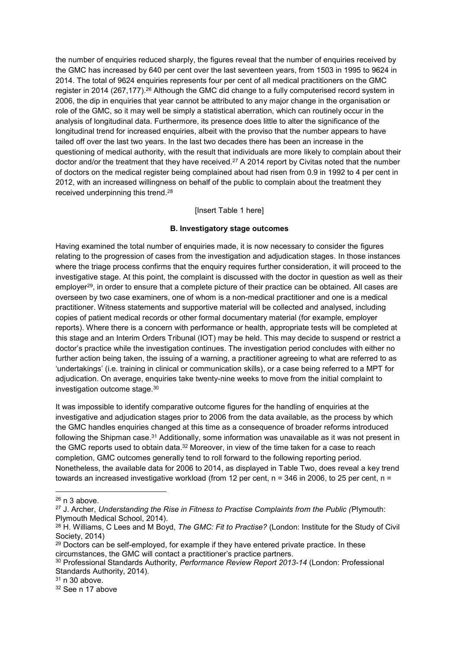the number of enquiries reduced sharply, the figures reveal that the number of enquiries received by the GMC has increased by 640 per cent over the last seventeen years, from 1503 in 1995 to 9624 in 2014. The total of 9624 enquiries represents four per cent of all medical practitioners on the GMC register in 2014 (267,177).<sup>26</sup> Although the GMC did change to a fully computerised record system in 2006, the dip in enquiries that year cannot be attributed to any major change in the organisation or role of the GMC, so it may well be simply a statistical aberration, which can routinely occur in the analysis of longitudinal data. Furthermore, its presence does little to alter the significance of the longitudinal trend for increased enquiries, albeit with the proviso that the number appears to have tailed off over the last two years. In the last two decades there has been an increase in the questioning of medical authority, with the result that individuals are more likely to complain about their doctor and/or the treatment that they have received.<sup>27</sup> A 2014 report by Civitas noted that the number of doctors on the medical register being complained about had risen from 0.9 in 1992 to 4 per cent in 2012, with an increased willingness on behalf of the public to complain about the treatment they received underpinning this trend. 28

#### [Insert Table 1 here]

#### **B. Investigatory stage outcomes**

Having examined the total number of enquiries made, it is now necessary to consider the figures relating to the progression of cases from the investigation and adjudication stages. In those instances where the triage process confirms that the enquiry requires further consideration, it will proceed to the investigative stage. At this point, the complaint is discussed with the doctor in question as well as their employer<sup>29</sup>, in order to ensure that a complete picture of their practice can be obtained. All cases are overseen by two case examiners, one of whom is a non-medical practitioner and one is a medical practitioner. Witness statements and supportive material will be collected and analysed, including copies of patient medical records or other formal documentary material (for example, employer reports). Where there is a concern with performance or health, appropriate tests will be completed at this stage and an Interim Orders Tribunal (IOT) may be held. This may decide to suspend or restrict a doctor's practice while the investigation continues. The investigation period concludes with either no further action being taken, the issuing of a warning, a practitioner agreeing to what are referred to as 'undertakings' (i.e. training in clinical or communication skills), or a case being referred to a MPT for adjudication. On average, enquiries take twenty-nine weeks to move from the initial complaint to investigation outcome stage. 30

It was impossible to identify comparative outcome figures for the handling of enquiries at the investigative and adjudication stages prior to 2006 from the data available, as the process by which the GMC handles enquiries changed at this time as a consequence of broader reforms introduced following the Shipman case.<sup>31</sup> Additionally, some information was unavailable as it was not present in the GMC reports used to obtain data. $^{32}$  Moreover, in view of the time taken for a case to reach completion, GMC outcomes generally tend to roll forward to the following reporting period. Nonetheless, the available data for 2006 to 2014, as displayed in Table Two, does reveal a key trend towards an increased investigative workload (from 12 per cent, n = 346 in 2006, to 25 per cent, n =

 $26$  n 3 above.

<sup>27</sup> J. Archer, *Understanding the Rise in Fitness to Practise Complaints from the Public (*Plymouth: Plymouth Medical School, 2014).

<sup>28</sup> H. Williams, C Lees and M Boyd, *The GMC: Fit to Practise?* (London: Institute for the Study of Civil Society, 2014)

 $29$  Doctors can be self-employed, for example if they have entered private practice. In these circumstances, the GMC will contact a practitioner's practice partners.

<sup>30</sup> Professional Standards Authority, *Performance Review Report 2013-14* (London: Professional Standards Authority, 2014).

 $31$  n  $30$  above.

<sup>32</sup> See n 17 above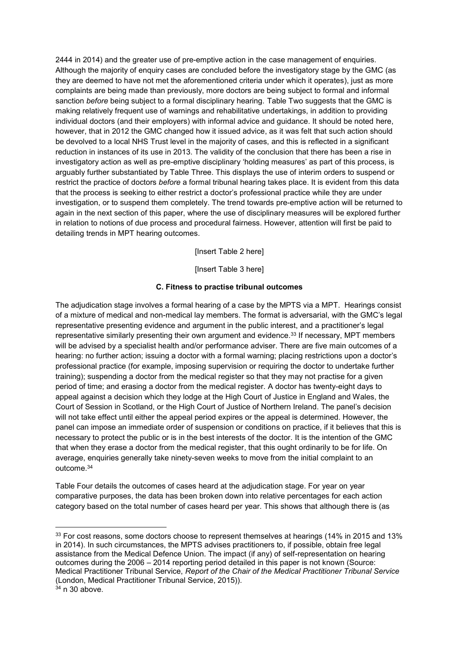2444 in 2014) and the greater use of pre-emptive action in the case management of enquiries. Although the majority of enquiry cases are concluded before the investigatory stage by the GMC (as they are deemed to have not met the aforementioned criteria under which it operates), just as more complaints are being made than previously, more doctors are being subject to formal and informal sanction *before* being subject to a formal disciplinary hearing. Table Two suggests that the GMC is making relatively frequent use of warnings and rehabilitative undertakings, in addition to providing individual doctors (and their employers) with informal advice and guidance. It should be noted here, however, that in 2012 the GMC changed how it issued advice, as it was felt that such action should be devolved to a local NHS Trust level in the majority of cases, and this is reflected in a significant reduction in instances of its use in 2013. The validity of the conclusion that there has been a rise in investigatory action as well as pre-emptive disciplinary 'holding measures' as part of this process, is arguably further substantiated by Table Three. This displays the use of interim orders to suspend or restrict the practice of doctors *before* a formal tribunal hearing takes place. It is evident from this data that the process is seeking to either restrict a doctor's professional practice while they are under investigation, or to suspend them completely. The trend towards pre-emptive action will be returned to again in the next section of this paper, where the use of disciplinary measures will be explored further in relation to notions of due process and procedural fairness. However, attention will first be paid to detailing trends in MPT hearing outcomes.

[Insert Table 2 here]

[Insert Table 3 here]

#### **C. Fitness to practise tribunal outcomes**

The adjudication stage involves a formal hearing of a case by the MPTS via a MPT. Hearings consist of a mixture of medical and non-medical lay members. The format is adversarial, with the GMC's legal representative presenting evidence and argument in the public interest, and a practitioner's legal representative similarly presenting their own argument and evidence. <sup>33</sup> If necessary, MPT members will be advised by a specialist health and/or performance adviser. There are five main outcomes of a hearing: no further action; issuing a doctor with a formal warning; placing restrictions upon a doctor's professional practice (for example, imposing supervision or requiring the doctor to undertake further training); suspending a doctor from the medical register so that they may not practise for a given period of time; and erasing a doctor from the medical register. A doctor has twenty-eight days to appeal against a decision which they lodge at the High Court of Justice in England and Wales, the Court of Session in Scotland, or the High Court of Justice of Northern Ireland. The panel's decision will not take effect until either the appeal period expires or the appeal is determined. However, the panel can impose an immediate order of suspension or conditions on practice, if it believes that this is necessary to protect the public or is in the best interests of the doctor. It is the intention of the GMC that when they erase a doctor from the medical register, that this ought ordinarily to be for life. On average, enquiries generally take ninety-seven weeks to move from the initial complaint to an outcome. 34

Table Four details the outcomes of cases heard at the adjudication stage. For year on year comparative purposes, the data has been broken down into relative percentages for each action category based on the total number of cases heard per year. This shows that although there is (as

<sup>-</sup><sup>33</sup> For cost reasons, some doctors choose to represent themselves at hearings (14% in 2015 and 13% in 2014). In such circumstances, the MPTS advises practitioners to, if possible, obtain free legal assistance from the Medical Defence Union. The impact (if any) of self-representation on hearing outcomes during the 2006 – 2014 reporting period detailed in this paper is not known (Source: Medical Practitioner Tribunal Service, *Report of the Chair of the Medical Practitioner Tribunal Service*  (London, Medical Practitioner Tribunal Service, 2015)).  $34$  n 30 above.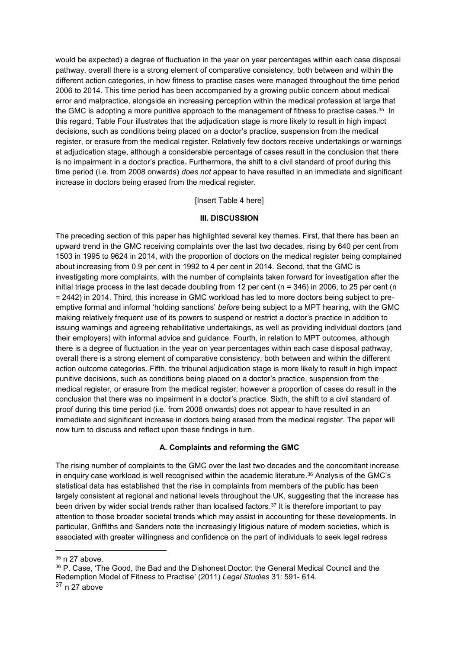would be expected) a degree of fluctuation in the year on year percentages within each case disposal pathway, overall there is a strong element of comparative consistency, both between and within the different action categories, in how fitness to practise cases were managed throughout the time period 2006 to 2014. This time period has been accompanied by a growing public concern about medical error and malpractice, alongside an increasing perception within the medical profession at large that the GMC is adopting a more punitive approach to the management of fitness to practise cases. $^{\rm 35}$  In this regard, Table Four illustrates that the adjudication stage is more likely to result in high impact decisions, such as conditions being placed on a doctor's practice, suspension from the medical register, or erasure from the medical register. Relatively few doctors receive undertakings or warnings at adjudication stage, although a considerable percentage of cases result in the conclusion that there is no impairment in a doctor's practice**.** Furthermore, the shift to a civil standard of proof during this time period (i.e. from 2008 onwards) *does not* appear to have resulted in an immediate and significant increase in doctors being erased from the medical register.

#### [Insert Table 4 here]

## **III. DISCUSSION**

The preceding section of this paper has highlighted several key themes. First, that there has been an upward trend in the GMC receiving complaints over the last two decades, rising by 640 per cent from 1503 in 1995 to 9624 in 2014, with the proportion of doctors on the medical register being complained about increasing from 0.9 per cent in 1992 to 4 per cent in 2014. Second, that the GMC is investigating more complaints, with the number of complaints taken forward for investigation after the initial triage process in the last decade doubling from 12 per cent ( $n = 346$ ) in 2006, to 25 per cent ( $n = 1$ ) = 2442) in 2014. Third, this increase in GMC workload has led to more doctors being subject to preemptive formal and informal 'holding sanctions' *before* being subject to a MPT hearing, with the GMC making relatively frequent use of its powers to suspend or restrict a doctor's practice in addition to issuing warnings and agreeing rehabilitative undertakings, as well as providing individual doctors (and their employers) with informal advice and guidance. Fourth, in relation to MPT outcomes, although there is a degree of fluctuation in the year on year percentages within each case disposal pathway, overall there is a strong element of comparative consistency, both between and within the different action outcome categories. Fifth, the tribunal adjudication stage is more likely to result in high impact punitive decisions, such as conditions being placed on a doctor's practice, suspension from the medical register, or erasure from the medical register; however a proportion of cases do result in the conclusion that there was no impairment in a doctor's practice. Sixth, the shift to a civil standard of proof during this time period (i.e. from 2008 onwards) does not appear to have resulted in an immediate and significant increase in doctors being erased from the medical register. The paper will now turn to discuss and reflect upon these findings in turn.

### **A. Complaints and reforming the GMC**

The rising number of complaints to the GMC over the last two decades and the concomitant increase in enquiry case workload is well recognised within the academic literature. <sup>36</sup> Analysis of the GMC's statistical data has established that the rise in complaints from members of the public has been largely consistent at regional and national levels throughout the UK, suggesting that the increase has been driven by wider social trends rather than localised factors. <sup>37</sup> It is therefore important to pay attention to those broader societal trends which may assist in accounting for these developments. In particular, Griffiths and Sanders note the increasingly litigious nature of modern societies, which is associated with greater willingness and confidence on the part of individuals to seek legal redress

 $35$  n 27 above.

<sup>36</sup> P. Case, 'The Good, the Bad and the Dishonest Doctor: the General Medical Council and the Redemption Model of Fitness to Practise' (2011) *Legal Studies* 31: 591- 614.  $37$  n 27 above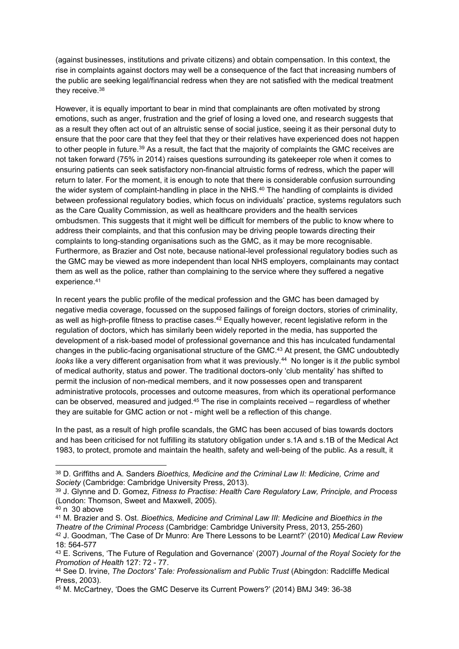(against businesses, institutions and private citizens) and obtain compensation. In this context, the rise in complaints against doctors may well be a consequence of the fact that increasing numbers of the public are seeking legal/financial redress when they are not satisfied with the medical treatment they receive. 38

However, it is equally important to bear in mind that complainants are often motivated by strong emotions, such as anger, frustration and the grief of losing a loved one, and research suggests that as a result they often act out of an altruistic sense of social justice, seeing it as their personal duty to ensure that the poor care that they feel that they or their relatives have experienced does not happen to other people in future. <sup>39</sup> As a result, the fact that the majority of complaints the GMC receives are not taken forward (75% in 2014) raises questions surrounding its gatekeeper role when it comes to ensuring patients can seek satisfactory non-financial altruistic forms of redress, which the paper will return to later. For the moment, it is enough to note that there is considerable confusion surrounding the wider system of complaint-handling in place in the NHS. <sup>40</sup> The handling of complaints is divided between professional regulatory bodies, which focus on individuals' practice, systems regulators such as the Care Quality Commission, as well as healthcare providers and the health services ombudsmen. This suggests that it might well be difficult for members of the public to know where to address their complaints, and that this confusion may be driving people towards directing their complaints to long-standing organisations such as the GMC, as it may be more recognisable. Furthermore, as Brazier and Ost note, because national-level professional regulatory bodies such as the GMC may be viewed as more independent than local NHS employers, complainants may contact them as well as the police, rather than complaining to the service where they suffered a negative experience. 41

In recent years the public profile of the medical profession and the GMC has been damaged by negative media coverage, focussed on the supposed failings of foreign doctors, stories of criminality, as well as high-profile fitness to practise cases. <sup>42</sup> Equally however, recent legislative reform in the regulation of doctors, which has similarly been widely reported in the media, has supported the development of a risk-based model of professional governance and this has inculcated fundamental changes in the public-facing organisational structure of the GMC. <sup>43</sup> At present, the GMC undoubtedly *looks* like a very different organisation from what it was previously. 44 No longer is it *the* public symbol of medical authority, status and power. The traditional doctors-only 'club mentality' has shifted to permit the inclusion of non-medical members, and it now possesses open and transparent administrative protocols, processes and outcome measures, from which its operational performance can be observed, measured and judged.<sup>45</sup> The rise in complaints received – regardless of whether they are suitable for GMC action or not - might well be a reflection of this change.

In the past, as a result of high profile scandals, the GMC has been accused of bias towards doctors and has been criticised for not fulfilling its statutory obligation under s.1A and s.1B of the Medical Act 1983, to protect, promote and maintain the health, safety and well-being of the public. As a result, it

<sup>-</sup><sup>38</sup> D. Griffiths and A. Sanders *Bioethics, Medicine and the Criminal Law II: Medicine, Crime and Society* (Cambridge: Cambridge University Press, 2013).

<sup>39</sup> J. Glynne and D. Gomez, *Fitness to Practise: Health Care Regulatory Law, Principle, and Process* (London: Thomson, Sweet and Maxwell, 2005).

 $40$  n 30 above

<sup>41</sup> M. Brazier and S. Ost. *Bioethics, Medicine and Criminal Law III*: *Medicine and Bioethics in the Theatre of the Criminal Process* (Cambridge: Cambridge University Press, 2013, 255-260)

<sup>42</sup> J. Goodman, 'The Case of Dr Munro: Are There Lessons to be Learnt?' (2010) *Medical Law Review* 18: 564-577

<sup>43</sup> E. Scrivens, 'The Future of Regulation and Governance' (2007) *Journal of the Royal Society for the Promotion of Health* 127: 72 - 77.

<sup>44</sup> See D. Irvine, *The Doctors' Tale: Professionalism and Public Trust* (Abingdon: Radcliffe Medical Press, 2003).

<sup>45</sup> M. McCartney, 'Does the GMC Deserve its Current Powers?' (2014) BMJ 349: 36-38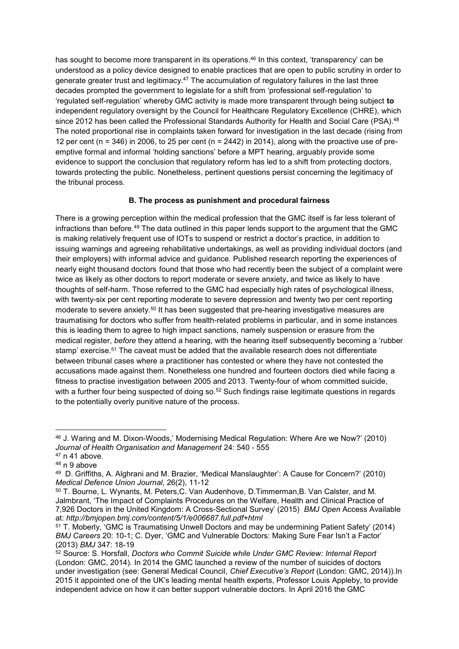has sought to become more transparent in its operations. <sup>46</sup> In this context, 'transparency' can be understood as a policy device designed to enable practices that are open to public scrutiny in order to generate greater trust and legitimacy. <sup>47</sup> The accumulation of regulatory failures in the last three decades prompted the government to legislate for a shift from 'professional self-regulation' to 'regulated self-regulation' whereby GMC activity is made more transparent through being subject **to**  independent regulatory oversight by the Council for Healthcare Regulatory Excellence (CHRE), which since 2012 has been called the Professional Standards Authority for Health and Social Care (PSA).<sup>48</sup> The noted proportional rise in complaints taken forward for investigation in the last decade (rising from 12 per cent (n = 346) in 2006, to 25 per cent (n = 2442) in 2014), along with the proactive use of preemptive formal and informal 'holding sanctions' before a MPT hearing, arguably provide some evidence to support the conclusion that regulatory reform has led to a shift from protecting doctors, towards protecting the public. Nonetheless, pertinent questions persist concerning the legitimacy of the tribunal process.

# **B. The process as punishment and procedural fairness**

There is a growing perception within the medical profession that the GMC itself is far less tolerant of infractions than before.<sup>49</sup> The data outlined in this paper lends support to the argument that the GMC is making relatively frequent use of IOTs to suspend or restrict a doctor's practice, in addition to issuing warnings and agreeing rehabilitative undertakings, as well as providing individual doctors (and their employers) with informal advice and guidance. Published research reporting the experiences of nearly eight thousand doctors found that those who had recently been the subject of a complaint were twice as likely as other doctors to report moderate or severe anxiety, and twice as likely to have thoughts of self-harm. Those referred to the GMC had especially high rates of psychological illness, with twenty-six per cent reporting moderate to severe depression and twenty two per cent reporting moderate to severe anxiety. <sup>50</sup> It has been suggested that pre-hearing investigative measures are traumatising for doctors who suffer from health-related problems in particular, and in some instances this is leading them to agree to high impact sanctions, namely suspension or erasure from the medical register, *before* they attend a hearing, with the hearing itself subsequently becoming a 'rubber stamp' exercise.<sup>51</sup> The caveat must be added that the available research does not differentiate between tribunal cases where a practitioner has contested or where they have not contested the accusations made against them. Nonetheless one hundred and fourteen doctors died while facing a fitness to practise investigation between 2005 and 2013. Twenty-four of whom committed suicide, with a further four being suspected of doing so.<sup>52</sup> Such findings raise legitimate questions in regards to the potentially overly punitive nature of the process.

<sup>-</sup><sup>46</sup> J. Waring and M. Dixon-Woods,' Modernising Medical Regulation: Where Are we Now?' (2010) *Journal of Health Organisation and Management* 24: 540 - 555  $47$  n 41 above.

<sup>48</sup> n 9 above

<sup>49</sup> D. Griffiths, A. Alghrani and M. Brazier, 'Medical Manslaughter': A Cause for Concern?' (2010) *Medical Defence Union Journal*, 26(2), 11-12

<sup>50</sup> T. Bourne, L. Wynants, M. Peters,C. Van Audenhove, D.Timmerman,B. Van Calster, and M. Jalmbrant, 'The Impact of Complaints Procedures on the Welfare, Health and Clinical Practice of 7,926 Doctors in the United Kingdom: A Cross-Sectional Survey' (2015) *BMJ Open* Access Available at: *http://bmjopen.bmj.com/content/5/1/e006687.full.pdf+html*

<sup>51</sup> T. Moberly, 'GMC is Traumatising Unwell Doctors and may be undermining Patient Safety' (2014) *BMJ Careers* 20: 10-1; C. Dyer, 'GMC and Vulnerable Doctors: Making Sure Fear Isn't a Factor' (2013) *BMJ* 347: 18-19

<sup>52</sup> Source: S. Horsfall, *Doctors who Commit Suicide while Under GMC Review: Internal Report* (London: GMC, 2014). In 2014 the GMC launched a review of the number of suicides of doctors under investigation (see: General Medical Council, *Chief Executive's Report* (London: GMC, 2014)).In 2015 it appointed one of the UK's leading mental health experts, Professor Louis Appleby, to provide independent advice on how it can better support vulnerable doctors. In April 2016 the GMC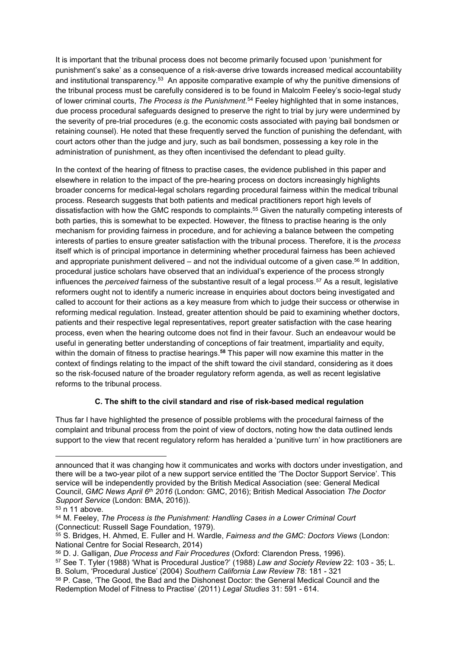It is important that the tribunal process does not become primarily focused upon 'punishment for punishment's sake' as a consequence of a risk-averse drive towards increased medical accountability and institutional transparency.<sup>53</sup> An apposite comparative example of why the punitive dimensions of the tribunal process must be carefully considered is to be found in Malcolm Feeley's socio-legal study of lower criminal courts, *The Process is the Punishment.* <sup>54</sup> Feeley highlighted that in some instances, due process procedural safeguards designed to preserve the right to trial by jury were undermined by the severity of pre-trial procedures (e.g. the economic costs associated with paying bail bondsmen or retaining counsel). He noted that these frequently served the function of punishing the defendant, with court actors other than the judge and jury, such as bail bondsmen, possessing a key role in the administration of punishment, as they often incentivised the defendant to plead guilty.

In the context of the hearing of fitness to practise cases, the evidence published in this paper and elsewhere in relation to the impact of the pre-hearing process on doctors increasingly highlights broader concerns for medical-legal scholars regarding procedural fairness within the medical tribunal process. Research suggests that both patients and medical practitioners report high levels of dissatisfaction with how the GMC responds to complaints. <sup>55</sup> Given the naturally competing interests of both parties, this is somewhat to be expected. However, the fitness to practise hearing is the only mechanism for providing fairness in procedure, and for achieving a balance between the competing interests of parties to ensure greater satisfaction with the tribunal process. Therefore, it is the *process* itself which is of principal importance in determining whether procedural fairness has been achieved and appropriate punishment delivered – and not the individual outcome of a given case. <sup>56</sup> In addition, procedural justice scholars have observed that an individual's experience of the process strongly influences the *perceived* fairness of the substantive result of a legal process. <sup>57</sup> As a result, legislative reformers ought not to identify a numeric increase in enquiries about doctors being investigated and called to account for their actions as a key measure from which to judge their success or otherwise in reforming medical regulation. Instead, greater attention should be paid to examining whether doctors, patients and their respective legal representatives, report greater satisfaction with the case hearing process, even when the hearing outcome does not find in their favour. Such an endeavour would be useful in generating better understanding of conceptions of fair treatment, impartiality and equity, within the domain of fitness to practise hearings. **<sup>58</sup>** This paper will now examine this matter in the context of findings relating to the impact of the shift toward the civil standard, considering as it does so the risk-focused nature of the broader regulatory reform agenda, as well as recent legislative reforms to the tribunal process.

# **C. The shift to the civil standard and rise of risk-based medical regulation**

Thus far I have highlighted the presence of possible problems with the procedural fairness of the complaint and tribunal process from the point of view of doctors, noting how the data outlined lends support to the view that recent regulatory reform has heralded a 'punitive turn' in how practitioners are

announced that it was changing how it communicates and works with doctors under investigation, and there will be a two-year pilot of a new support service entitled the 'The Doctor Support Service'. This service will be independently provided by the British Medical Association (see: General Medical Council, *GMC News April 6th 2016* (London: GMC, 2016); British Medical Association *The Doctor Support Service* (London: BMA, 2016)).

 $53$  n 11 above.

<sup>54</sup> M. Feeley, *The Process is the Punishment: Handling Cases in a Lower Criminal Court* (Connecticut: Russell Sage Foundation, 1979).

<sup>55</sup> S. Bridges, H. Ahmed, E. Fuller and H. Wardle, *Fairness and the GMC: Doctors Views* (London: National Centre for Social Research, 2014)

<sup>56</sup> D. J. Galligan, *Due Process and Fair Procedures* (Oxford: Clarendon Press, 1996).

<sup>57</sup> See T. Tyler (1988) 'What is Procedural Justice?' (1988) *Law and Society Review* 22: 103 - 35; L.

B. Solum, 'Procedural Justice' (2004) *Southern California Law Review* 78: 181 - 321

<sup>58</sup> P. Case, 'The Good, the Bad and the Dishonest Doctor: the General Medical Council and the Redemption Model of Fitness to Practise' (2011) *Legal Studies* 31: 591 - 614.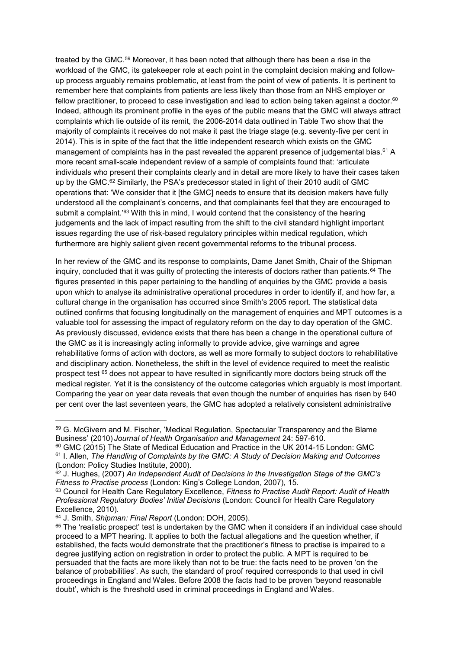treated by the GMC. <sup>59</sup> Moreover, it has been noted that although there has been a rise in the workload of the GMC, its gatekeeper role at each point in the complaint decision making and followup process arguably remains problematic, at least from the point of view of patients. It is pertinent to remember here that complaints from patients are less likely than those from an NHS employer or fellow practitioner, to proceed to case investigation and lead to action being taken against a doctor. $^{60}$ Indeed, although its prominent profile in the eyes of the public means that the GMC will always attract complaints which lie outside of its remit, the 2006-2014 data outlined in Table Two show that the majority of complaints it receives do not make it past the triage stage (e.g. seventy-five per cent in 2014). This is in spite of the fact that the little independent research which exists on the GMC management of complaints has in the past revealed the apparent presence of judgemental bias. $^{61}$  A more recent small-scale independent review of a sample of complaints found that: 'articulate individuals who present their complaints clearly and in detail are more likely to have their cases taken up by the GMC.<sup>62</sup> Similarly, the PSA's predecessor stated in light of their 2010 audit of GMC operations that: 'We consider that it [the GMC] needs to ensure that its decision makers have fully understood all the complainant's concerns, and that complainants feel that they are encouraged to submit a complaint.'<sup>63</sup> With this in mind, I would contend that the consistency of the hearing judgements and the lack of impact resulting from the shift to the civil standard highlight important issues regarding the use of risk-based regulatory principles within medical regulation, which furthermore are highly salient given recent governmental reforms to the tribunal process.

In her review of the GMC and its response to complaints, Dame Janet Smith, Chair of the Shipman inquiry, concluded that it was guilty of protecting the interests of doctors rather than patients.<sup>64</sup> The figures presented in this paper pertaining to the handling of enquiries by the GMC provide a basis upon which to analyse its administrative operational procedures in order to identify if, and how far, a cultural change in the organisation has occurred since Smith's 2005 report. The statistical data outlined confirms that focusing longitudinally on the management of enquiries and MPT outcomes is a valuable tool for assessing the impact of regulatory reform on the day to day operation of the GMC. As previously discussed, evidence exists that there has been a change in the operational culture of the GMC as it is increasingly acting informally to provide advice, give warnings and agree rehabilitative forms of action with doctors, as well as more formally to subject doctors to rehabilitative and disciplinary action. Nonetheless, the shift in the level of evidence required to meet the realistic prospect test <sup>65</sup> does not appear to have resulted in significantly more doctors being struck off the medical register. Yet it is the consistency of the outcome categories which arguably is most important. Comparing the year on year data reveals that even though the number of enquiries has risen by 640 per cent over the last seventeen years, the GMC has adopted a relatively consistent administrative

<sup>60</sup> GMC (2015) The State of Medical Education and Practice in the UK 2014-15 London: GMC <sup>61</sup> I. Allen, *The Handling of Complaints by the GMC: A Study of Decision Making and Outcomes* (London: Policy Studies Institute, 2000).

<sup>&</sup>lt;u>.</u> <sup>59</sup> G. McGivern and M. Fischer, 'Medical Regulation, Spectacular Transparency and the Blame Business' (2010) *Journal of Health Organisation and Management* 24: 597-610.

<sup>62</sup> J. Hughes, (2007) *An Independent Audit of Decisions in the Investigation Stage of the GMC's Fitness to Practise process* (London: King's College London, 2007), 15.

<sup>63</sup> Council for Health Care Regulatory Excellence, *Fitness to Practise Audit Report: Audit of Health Professional Regulatory Bodies' Initial Decisions* (London: Council for Health Care Regulatory Excellence, 2010).

<sup>64</sup> J. Smith, *Shipman: Final Report* (London: DOH, 2005).

<sup>&</sup>lt;sup>65</sup> The 'realistic prospect' test is undertaken by the GMC when it considers if an individual case should proceed to a MPT hearing. It applies to both the factual allegations and the question whether, if established, the facts would demonstrate that the practitioner's fitness to practise is impaired to a degree justifying action on registration in order to protect the public. A MPT is required to be persuaded that the facts are more likely than not to be true: the facts need to be proven 'on the balance of probabilities'. As such, the standard of proof required corresponds to that used in civil proceedings in England and Wales. Before 2008 the facts had to be proven 'beyond reasonable doubt', which is the threshold used in criminal proceedings in England and Wales.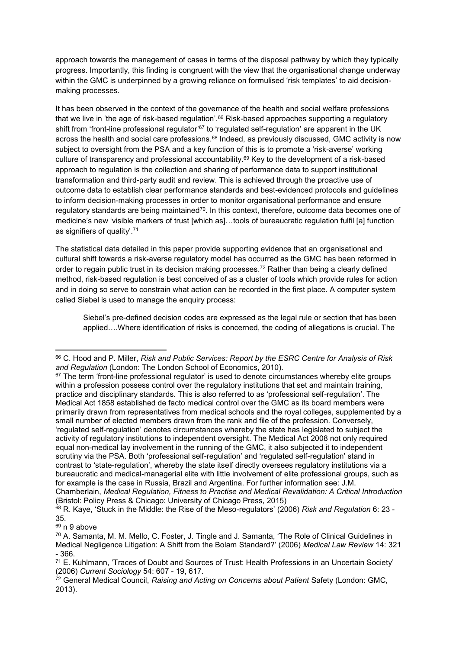approach towards the management of cases in terms of the disposal pathway by which they typically progress. Importantly, this finding is congruent with the view that the organisational change underway within the GMC is underpinned by a growing reliance on formulised 'risk templates' to aid decisionmaking processes.

It has been observed in the context of the governance of the health and social welfare professions that we live in 'the age of risk-based regulation'.<sup>66</sup> Risk-based approaches supporting a regulatory shift from 'front-line professional regulator'<sup>67</sup> to 'regulated self-regulation' are apparent in the UK across the health and social care professions.<sup>68</sup> Indeed, as previously discussed, GMC activity is now subject to oversight from the PSA and a key function of this is to promote a 'risk-averse' working culture of transparency and professional accountability. <sup>69</sup> Key to the development of a risk-based approach to regulation is the collection and sharing of performance data to support institutional transformation and third-party audit and review. This is achieved through the proactive use of outcome data to establish clear performance standards and best-evidenced protocols and guidelines to inform decision-making processes in order to monitor organisational performance and ensure regulatory standards are being maintained $^{70}$ . In this context, therefore, outcome data becomes one of medicine's new 'visible markers of trust [which as]…tools of bureaucratic regulation fulfil [a] function as signifiers of quality'. 71

The statistical data detailed in this paper provide supporting evidence that an organisational and cultural shift towards a risk-averse regulatory model has occurred as the GMC has been reformed in order to regain public trust in its decision making processes. <sup>72</sup> Rather than being a clearly defined method, risk-based regulation is best conceived of as a cluster of tools which provide rules for action and in doing so serve to constrain what action can be recorded in the first place. A computer system called Siebel is used to manage the enquiry process:

Siebel's pre-defined decision codes are expressed as the legal rule or section that has been applied….Where identification of risks is concerned, the coding of allegations is crucial. The

(Bristol: Policy Press & Chicago: University of Chicago Press, 2015)

<sup>-</sup><sup>66</sup> C. Hood and P. Miller, *Risk and Public Services: Report by the ESRC Centre for Analysis of Risk and Regulation* (London: The London School of Economics, 2010).

 $67$  The term 'front-line professional regulator' is used to denote circumstances whereby elite groups within a profession possess control over the regulatory institutions that set and maintain training, practice and disciplinary standards. This is also referred to as 'professional self-regulation'. The Medical Act 1858 established de facto medical control over the GMC as its board members were primarily drawn from representatives from medical schools and the royal colleges, supplemented by a small number of elected members drawn from the rank and file of the profession. Conversely, 'regulated self-regulation' denotes circumstances whereby the state has legislated to subject the activity of regulatory institutions to independent oversight. The Medical Act 2008 not only required equal non-medical lay involvement in the running of the GMC, it also subjected it to independent scrutiny via the PSA. Both 'professional self-regulation' and 'regulated self-regulation' stand in contrast to 'state-regulation', whereby the state itself directly oversees regulatory institutions via a bureaucratic and medical-managerial elite with little involvement of elite professional groups, such as for example is the case in Russia, Brazil and Argentina. For further information see: J.M. Chamberlain, *Medical Regulation, Fitness to Practise and Medical Revalidation: A Critical Introduction* 

<sup>68</sup> R. Kaye, 'Stuck in the Middle: the Rise of the Meso-regulators' (2006) *Risk and Regulation* 6: 23 - 35.

<sup>69</sup> n 9 above

<sup>70</sup> A. Samanta, M. M. Mello, C. Foster, J. Tingle and J. Samanta, 'The Role of Clinical Guidelines in Medical Negligence Litigation: A Shift from the Bolam Standard?' (2006) *Medical Law Review* 14: 321 - 366.

<sup>71</sup> E. Kuhlmann, 'Traces of Doubt and Sources of Trust: Health Professions in an Uncertain Society' (2006) *Current Sociology* 54: 607 - 19, 617.

<sup>72</sup> General Medical Council, *Raising and Acting on Concerns about Patient* Safety (London: GMC, 2013).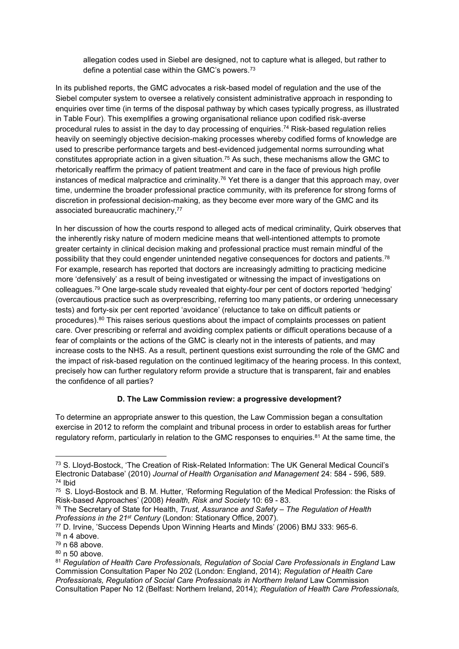allegation codes used in Siebel are designed, not to capture what is alleged, but rather to define a potential case within the GMC's powers.<sup>73</sup>

In its published reports, the GMC advocates a risk-based model of regulation and the use of the Siebel computer system to oversee a relatively consistent administrative approach in responding to enquiries over time (in terms of the disposal pathway by which cases typically progress, as illustrated in Table Four). This exemplifies a growing organisational reliance upon codified risk-averse procedural rules to assist in the day to day processing of enquiries. <sup>74</sup> Risk-based regulation relies heavily on seemingly objective decision-making processes whereby codified forms of knowledge are used to prescribe performance targets and best-evidenced judgemental norms surrounding what constitutes appropriate action in a given situation. <sup>75</sup> As such, these mechanisms allow the GMC to rhetorically reaffirm the primacy of patient treatment and care in the face of previous high profile instances of medical malpractice and criminality.<sup>76</sup> Yet there is a danger that this approach may, over time, undermine the broader professional practice community, with its preference for strong forms of discretion in professional decision-making, as they become ever more wary of the GMC and its associated bureaucratic machinery, 77

In her discussion of how the courts respond to alleged acts of medical criminality, Quirk observes that the inherently risky nature of modern medicine means that well-intentioned attempts to promote greater certainty in clinical decision making and professional practice must remain mindful of the possibility that they could engender unintended negative consequences for doctors and patients. $^{78}$ For example, research has reported that doctors are increasingly admitting to practicing medicine more 'defensively' as a result of being investigated or witnessing the impact of investigations on colleagues. <sup>79</sup> One large-scale study revealed that eighty-four per cent of doctors reported 'hedging' (overcautious practice such as overprescribing, referring too many patients, or ordering unnecessary tests) and forty-six per cent reported 'avoidance' (reluctance to take on difficult patients or procedures).<sup>80</sup> This raises serious questions about the impact of complaints processes on patient care. Over prescribing or referral and avoiding complex patients or difficult operations because of a fear of complaints or the actions of the GMC is clearly not in the interests of patients, and may increase costs to the NHS. As a result, pertinent questions exist surrounding the role of the GMC and the impact of risk-based regulation on the continued legitimacy of the hearing process. In this context, precisely how can further regulatory reform provide a structure that is transparent, fair and enables the confidence of all parties?

### **D. The Law Commission review: a progressive development?**

To determine an appropriate answer to this question, the Law Commission began a consultation exercise in 2012 to reform the complaint and tribunal process in order to establish areas for further regulatory reform, particularly in relation to the GMC responses to enquiries. <sup>81</sup> At the same time, the

<sup>73</sup> S. Lloyd-Bostock, 'The Creation of Risk-Related Information: The UK General Medical Council's Electronic Database' (2010) *Journal of Health Organisation and Management* 24: 584 - 596, 589. <sup>74</sup> Ibid

<sup>75</sup> S. Lloyd-Bostock and B. M. Hutter, 'Reforming Regulation of the Medical Profession: the Risks of Risk-based Approaches' (2008) *Health, Risk and Society* 10: 69 - 83.

<sup>76</sup> The Secretary of State for Health, *Trust, Assurance and Safety – The Regulation of Health Professions in the 21st Century* (London: Stationary Office, 2007).

<sup>77</sup> D. Irvine, 'Success Depends Upon Winning Hearts and Minds' (2006) BMJ 333: 965-6.

 $78$  n 4 above.

 $79$  n 68 above.

 $80$  n 50 above.

<sup>81</sup> *Regulation of Health Care Professionals, Regulation of Social Care Professionals in England* Law Commission Consultation Paper No 202 (London: England, 2014); *Regulation of Health Care Professionals, Regulation of Social Care Professionals in Northern Ireland Law Commission* Consultation Paper No 12 (Belfast: Northern Ireland, 2014); *Regulation of Health Care Professionals,*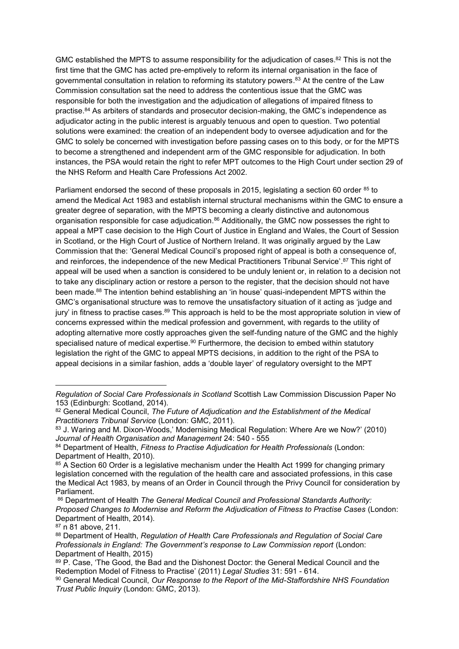GMC established the MPTS to assume responsibility for the adjudication of cases. <sup>82</sup> This is not the first time that the GMC has acted pre-emptively to reform its internal organisation in the face of governmental consultation in relation to reforming its statutory powers. <sup>83</sup> At the centre of the Law Commission consultation sat the need to address the contentious issue that the GMC was responsible for both the investigation and the adjudication of allegations of impaired fitness to practise. <sup>84</sup> As arbiters of standards and prosecutor decision-making, the GMC's independence as adjudicator acting in the public interest is arguably tenuous and open to question. Two potential solutions were examined: the creation of an independent body to oversee adjudication and for the GMC to solely be concerned with investigation before passing cases on to this body, or for the MPTS to become a strengthened and independent arm of the GMC responsible for adjudication. In both instances, the PSA would retain the right to refer MPT outcomes to the High Court under section 29 of the NHS Reform and Health Care Professions Act 2002.

Parliament endorsed the second of these proposals in 2015, legislating a section 60 order <sup>85</sup> to amend the Medical Act 1983 and establish internal structural mechanisms within the GMC to ensure a greater degree of separation, with the MPTS becoming a clearly distinctive and autonomous organisation responsible for case adjudication. <sup>86</sup> Additionally, the GMC now possesses the right to appeal a MPT case decision to the High Court of Justice in England and Wales, the Court of Session in Scotland, or the High Court of Justice of Northern Ireland. It was originally argued by the Law Commission that the: 'General Medical Council's proposed right of appeal is both a consequence of, and reinforces, the independence of the new Medical Practitioners Tribunal Service'. <sup>87</sup> This right of appeal will be used when a sanction is considered to be unduly lenient or, in relation to a decision not to take any disciplinary action or restore a person to the register, that the decision should not have been made. <sup>88</sup> The intention behind establishing an 'in house' quasi-independent MPTS within the GMC's organisational structure was to remove the unsatisfactory situation of it acting as 'judge and jury' in fitness to practise cases.<sup>89</sup> This approach is held to be the most appropriate solution in view of concerns expressed within the medical profession and government, with regards to the utility of adopting alternative more costly approaches given the self-funding nature of the GMC and the highly specialised nature of medical expertise. $^{90}$  Furthermore, the decision to embed within statutory legislation the right of the GMC to appeal MPTS decisions, in addition to the right of the PSA to appeal decisions in a similar fashion, adds a 'double layer' of regulatory oversight to the MPT

*Regulation of Social Care Professionals in Scotland* Scottish Law Commission Discussion Paper No 153 (Edinburgh: Scotland, 2014).

<sup>82</sup> General Medical Council, *The Future of Adjudication and the Establishment of the Medical Practitioners Tribunal Service* (London: GMC, 2011).

<sup>83</sup> J. Waring and M. Dixon-Woods,' Modernising Medical Regulation: Where Are we Now?' (2010) *Journal of Health Organisation and Management* 24: 540 - 555

<sup>84</sup> Department of Health, *Fitness to Practise Adjudication for Health Professionals* (London: Department of Health, 2010).

<sup>&</sup>lt;sup>85</sup> A Section 60 Order is a legislative mechanism under the Health Act 1999 for changing primary legislation concerned with the regulation of the health care and associated professions, in this case the Medical Act 1983, by means of an Order in Council through the Privy Council for consideration by Parliament.

<sup>86</sup> Department of Health *The General Medical Council and Professional Standards Authority: Proposed Changes to Modernise and Reform the Adjudication of Fitness to Practise Cases* (London: Department of Health, 2014).

<sup>87</sup> n 81 above, 211.

<sup>88</sup> Department of Health, *Regulation of Health Care Professionals and Regulation of Social Care Professionals in England: The Government's response to Law Commission report* (London: Department of Health, 2015)

<sup>89</sup> P. Case, 'The Good, the Bad and the Dishonest Doctor: the General Medical Council and the Redemption Model of Fitness to Practise' (2011) *Legal Studies* 31: 591 - 614.

<sup>90</sup> General Medical Council, *Our Response to the Report of the Mid-Staffordshire NHS Foundation Trust Public Inquiry* (London: GMC, 2013).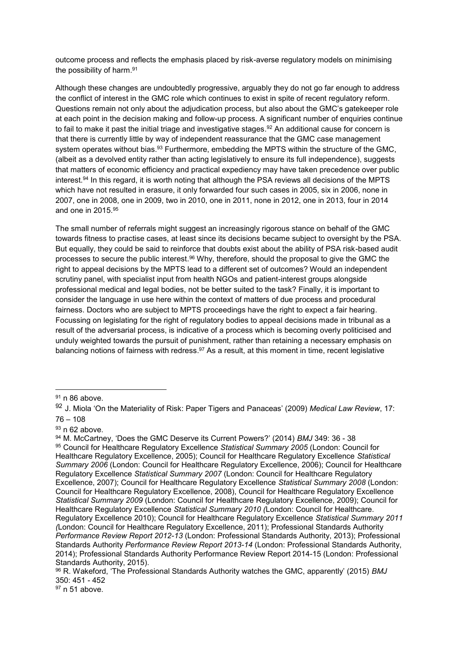outcome process and reflects the emphasis placed by risk-averse regulatory models on minimising the possibility of harm. 91

Although these changes are undoubtedly progressive, arguably they do not go far enough to address the conflict of interest in the GMC role which continues to exist in spite of recent regulatory reform. Questions remain not only about the adjudication process, but also about the GMC's gatekeeper role at each point in the decision making and follow-up process. A significant number of enquiries continue to fail to make it past the initial triage and investigative stages. <sup>92</sup> An additional cause for concern is that there is currently little by way of independent reassurance that the GMC case management system operates without bias.<sup>93</sup> Furthermore, embedding the MPTS within the structure of the GMC, (albeit as a devolved entity rather than acting legislatively to ensure its full independence), suggests that matters of economic efficiency and practical expediency may have taken precedence over public interest. <sup>94</sup> In this regard, it is worth noting that although the PSA reviews all decisions of the MPTS which have not resulted in erasure, it only forwarded four such cases in 2005, six in 2006, none in 2007, one in 2008, one in 2009, two in 2010, one in 2011, none in 2012, one in 2013, four in 2014 and one in 2015. 95

The small number of referrals might suggest an increasingly rigorous stance on behalf of the GMC towards fitness to practise cases, at least since its decisions became subject to oversight by the PSA. But equally, they could be said to reinforce that doubts exist about the ability of PSA risk-based audit processes to secure the public interest. <sup>96</sup> Why, therefore, should the proposal to give the GMC the right to appeal decisions by the MPTS lead to a different set of outcomes? Would an independent scrutiny panel, with specialist input from health NGOs and patient-interest groups alongside professional medical and legal bodies, not be better suited to the task? Finally, it is important to consider the language in use here within the context of matters of due process and procedural fairness. Doctors who are subject to MPTS proceedings have the right to expect a fair hearing. Focussing on legislating for the right of regulatory bodies to appeal decisions made in tribunal as a result of the adversarial process, is indicative of a process which is becoming overly politicised and unduly weighted towards the pursuit of punishment, rather than retaining a necessary emphasis on balancing notions of fairness with redress. $97$  As a result, at this moment in time, recent legislative

 $91$  n 86 above.

<sup>92</sup> J. Miola 'On the Materiality of Risk: Paper Tigers and Panaceas' (2009) *Medical Law Review*, 17: 76 – 108

 $93$  n 62 above.

<sup>94</sup> M. McCartney, 'Does the GMC Deserve its Current Powers?' (2014) *BMJ* 349: 36 - 38 <sup>95</sup> Council for Healthcare Regulatory Excellence *Statistical Summary 2005* (London: Council for Healthcare Regulatory Excellence, 2005); Council for Healthcare Regulatory Excellence *Statistical Summary 2006* (London: Council for Healthcare Regulatory Excellence, 2006); Council for Healthcare Regulatory Excellence *Statistical Summary 2007* (London: Council for Healthcare Regulatory Excellence, 2007); Council for Healthcare Regulatory Excellence *Statistical Summary 2008* (London: Council for Healthcare Regulatory Excellence, 2008), Council for Healthcare Regulatory Excellence *Statistical Summary 2009* (London: Council for Healthcare Regulatory Excellence, 2009); Council for Healthcare Regulatory Excellence *Statistical Summary 2010 (*London: Council for Healthcare. Regulatory Excellence 2010); Council for Healthcare Regulatory Excellence *Statistical Summary 2011 (*London: Council for Healthcare Regulatory Excellence, 2011); Professional Standards Authority *Performance Review Report 2012-13* (London: Professional Standards Authority, 2013); Professional Standards Authority *Performance Review Report 2013-14* (London: Professional Standards Authority, 2014); Professional Standards Authority Performance Review Report 2014-15 (London: Professional Standards Authority, 2015).

<sup>96</sup> R. Wakeford, 'The Professional Standards Authority watches the GMC, apparently' (2015) *BMJ*  350: 451 - 452

 $97$  n 51 above.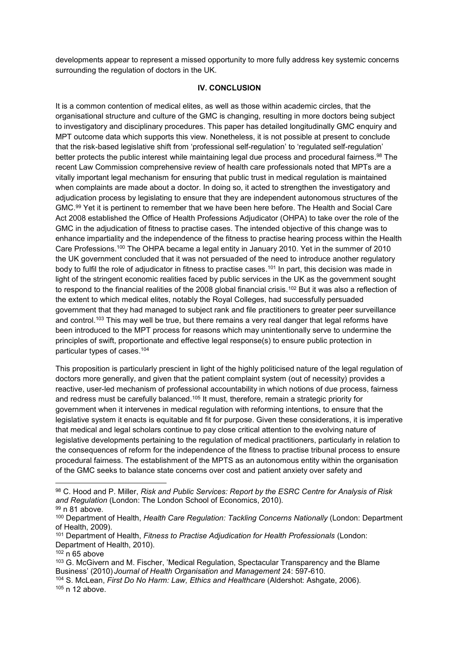developments appear to represent a missed opportunity to more fully address key systemic concerns surrounding the regulation of doctors in the UK.

#### **IV. CONCLUSION**

It is a common contention of medical elites, as well as those within academic circles, that the organisational structure and culture of the GMC is changing, resulting in more doctors being subject to investigatory and disciplinary procedures. This paper has detailed longitudinally GMC enquiry and MPT outcome data which supports this view. Nonetheless, it is not possible at present to conclude that the risk-based legislative shift from 'professional self-regulation' to 'regulated self-regulation' better protects the public interest while maintaining legal due process and procedural fairness.<sup>98</sup> The recent Law Commission comprehensive review of health care professionals noted that MPTs are a vitally important legal mechanism for ensuring that public trust in medical regulation is maintained when complaints are made about a doctor. In doing so, it acted to strengthen the investigatory and adjudication process by legislating to ensure that they are independent autonomous structures of the GMC. <sup>99</sup> Yet it is pertinent to remember that we have been here before. The Health and Social Care Act 2008 established the Office of Health Professions Adjudicator (OHPA) to take over the role of the GMC in the adjudication of fitness to practise cases. The intended objective of this change was to enhance impartiality and the independence of the fitness to practise hearing process within the Health Care Professions. <sup>100</sup> The OHPA became a legal entity in January 2010. Yet in the summer of 2010 the UK government concluded that it was not persuaded of the need to introduce another regulatory body to fulfil the role of adjudicator in fitness to practise cases. <sup>101</sup> In part, this decision was made in light of the stringent economic realities faced by public services in the UK as the government sought to respond to the financial realities of the 2008 global financial crisis. <sup>102</sup> But it was also a reflection of the extent to which medical elites, notably the Royal Colleges, had successfully persuaded government that they had managed to subject rank and file practitioners to greater peer surveillance and control. <sup>103</sup> This may well be true, but there remains a very real danger that legal reforms have been introduced to the MPT process for reasons which may unintentionally serve to undermine the principles of swift, proportionate and effective legal response(s) to ensure public protection in particular types of cases. 104

This proposition is particularly prescient in light of the highly politicised nature of the legal regulation of doctors more generally, and given that the patient complaint system (out of necessity) provides a reactive, user-led mechanism of professional accountability in which notions of due process, fairness and redress must be carefully balanced.<sup>105</sup> It must, therefore, remain a strategic priority for government when it intervenes in medical regulation with reforming intentions, to ensure that the legislative system it enacts is equitable and fit for purpose. Given these considerations, it is imperative that medical and legal scholars continue to pay close critical attention to the evolving nature of legislative developments pertaining to the regulation of medical practitioners, particularly in relation to the consequences of reform for the independence of the fitness to practise tribunal process to ensure procedural fairness. The establishment of the MPTS as an autonomous entity within the organisation of the GMC seeks to balance state concerns over cost and patient anxiety over safety and

<sup>98</sup> C. Hood and P. Miller, *Risk and Public Services: Report by the ESRC Centre for Analysis of Risk and Regulation* (London: The London School of Economics, 2010).

<sup>99</sup> n 81 above.

<sup>100</sup> Department of Health, *Health Care Regulation: Tackling Concerns Nationally* (London: Department of Health, 2009).

<sup>101</sup> Department of Health, *Fitness to Practise Adjudication for Health Professionals* (London: Department of Health, 2010).

 $102$  n 65 above

<sup>&</sup>lt;sup>103</sup> G. McGivern and M. Fischer, 'Medical Regulation, Spectacular Transparency and the Blame Business' (2010) *Journal of Health Organisation and Management* 24: 597-610.

<sup>104</sup> S. McLean, *First Do No Harm: Law, Ethics and Healthcare* (Aldershot: Ashgate, 2006). <sup>105</sup> n 12 above.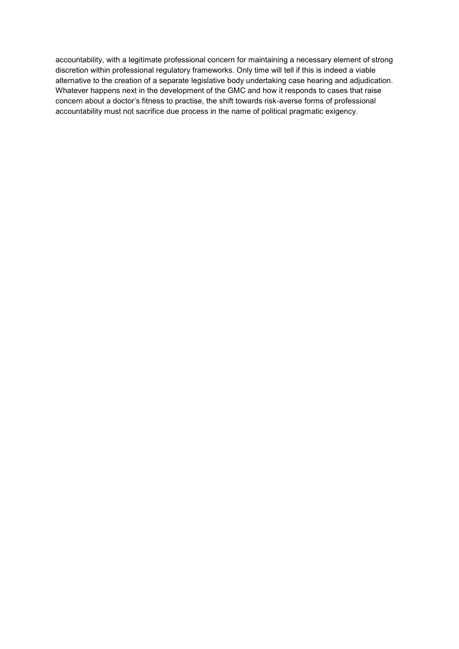accountability, with a legitimate professional concern for maintaining a necessary element of strong discretion within professional regulatory frameworks. Only time will tell if this is indeed a viable alternative to the creation of a separate legislative body undertaking case hearing and adjudication. Whatever happens next in the development of the GMC and how it responds to cases that raise concern about a doctor's fitness to practise, the shift towards risk-averse forms of professional accountability must not sacrifice due process in the name of political pragmatic exigency.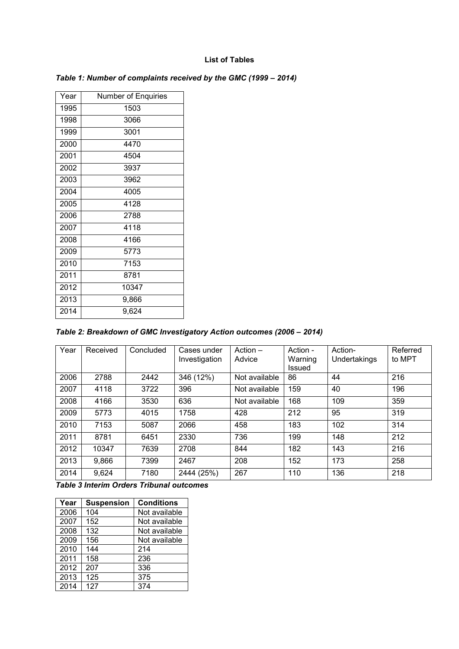# **List of Tables**

| Year | <b>Number of Enquiries</b> |
|------|----------------------------|
| 1995 | 1503                       |
| 1998 | 3066                       |
| 1999 | 3001                       |
| 2000 | 4470                       |
| 2001 | 4504                       |
| 2002 | 3937                       |
| 2003 | 3962                       |
| 2004 | 4005                       |
| 2005 | 4128                       |
| 2006 | 2788                       |
| 2007 | 4118                       |
| 2008 | 4166                       |
| 2009 | 5773                       |
| 2010 | 7153                       |
| 2011 | 8781                       |
| 2012 | 10347                      |
| 2013 | 9,866                      |
| 2014 | 9,624                      |

# *Table 1: Number of complaints received by the GMC (1999 – 2014)*

*Table 2: Breakdown of GMC Investigatory Action outcomes (2006 – 2014)*

| Year | Received | Concluded | Cases under<br>Investigation | $Action -$<br>Advice | Action -<br>Warning | Action-<br>Undertakings | Referred<br>to MPT |
|------|----------|-----------|------------------------------|----------------------|---------------------|-------------------------|--------------------|
|      |          |           |                              |                      | Issued              |                         |                    |
| 2006 | 2788     | 2442      | 346 (12%)                    | Not available        | 86                  | 44                      | 216                |
| 2007 | 4118     | 3722      | 396                          | Not available        | 159                 | 40                      | 196                |
| 2008 | 4166     | 3530      | 636                          | Not available        | 168                 | 109                     | 359                |
| 2009 | 5773     | 4015      | 1758                         | 428                  | 212                 | 95                      | 319                |
| 2010 | 7153     | 5087      | 2066                         | 458                  | 183                 | 102                     | 314                |
| 2011 | 8781     | 6451      | 2330                         | 736                  | 199                 | 148                     | 212                |
| 2012 | 10347    | 7639      | 2708                         | 844                  | 182                 | 143                     | 216                |
| 2013 | 9,866    | 7399      | 2467                         | 208                  | 152                 | 173                     | 258                |
| 2014 | 9,624    | 7180      | 2444 (25%)                   | 267                  | 110                 | 136                     | 218                |

*Table 3 Interim Orders Tribunal outcomes*

| Year | <b>Suspension</b> | <b>Conditions</b> |
|------|-------------------|-------------------|
| 2006 | 104               | Not available     |
| 2007 | 152               | Not available     |
| 2008 | 132               | Not available     |
| 2009 | 156               | Not available     |
| 2010 | 144               | 214               |
| 2011 | 158               | 236               |
| 2012 | 207               | 336               |
| 2013 | 125               | 375               |
| 2014 | 127               | 374               |